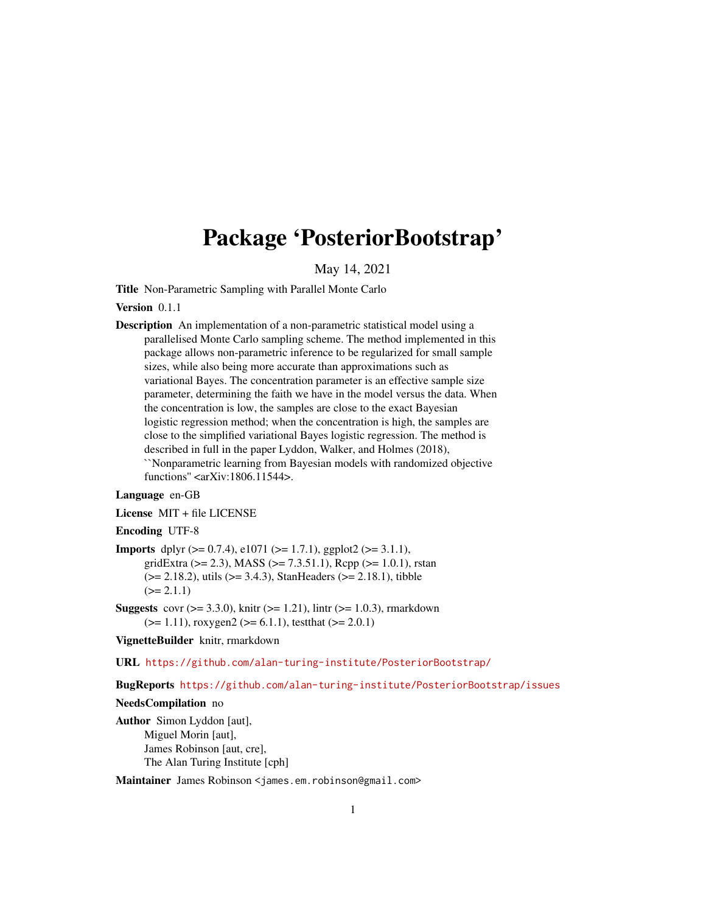# <span id="page-0-0"></span>Package 'PosteriorBootstrap'

May 14, 2021

Title Non-Parametric Sampling with Parallel Monte Carlo

Version 0.1.1

Description An implementation of a non-parametric statistical model using a parallelised Monte Carlo sampling scheme. The method implemented in this package allows non-parametric inference to be regularized for small sample sizes, while also being more accurate than approximations such as variational Bayes. The concentration parameter is an effective sample size parameter, determining the faith we have in the model versus the data. When the concentration is low, the samples are close to the exact Bayesian logistic regression method; when the concentration is high, the samples are close to the simplified variational Bayes logistic regression. The method is described in full in the paper Lyddon, Walker, and Holmes (2018), ``Nonparametric learning from Bayesian models with randomized objective functions'' <arXiv:1806.11544>.

#### Language en-GB

License MIT + file LICENSE

#### Encoding UTF-8

- **Imports** dplyr  $(>= 0.7.4)$ , e1071  $(>= 1.7.1)$ , ggplot2  $(>= 3.1.1)$ , gridExtra ( $>= 2.3$ ), MASS ( $>= 7.3.51.1$ ), Rcpp ( $>= 1.0.1$ ), rstan  $(>= 2.18.2)$ , utils  $(>= 3.4.3)$ , StanHeaders  $(>= 2.18.1)$ , tibble  $(>= 2.1.1)$
- **Suggests** covr ( $>= 3.3.0$ ), knitr ( $>= 1.21$ ), lintr ( $>= 1.0.3$ ), rmarkdown  $(>= 1.11)$ , roxygen2  $(>= 6.1.1)$ , testthat  $(>= 2.0.1)$

VignetteBuilder knitr, rmarkdown

URL <https://github.com/alan-turing-institute/PosteriorBootstrap/>

BugReports <https://github.com/alan-turing-institute/PosteriorBootstrap/issues>

#### NeedsCompilation no

Author Simon Lyddon [aut], Miguel Morin [aut], James Robinson [aut, cre], The Alan Turing Institute [cph]

Maintainer James Robinson <james.em.robinson@gmail.com>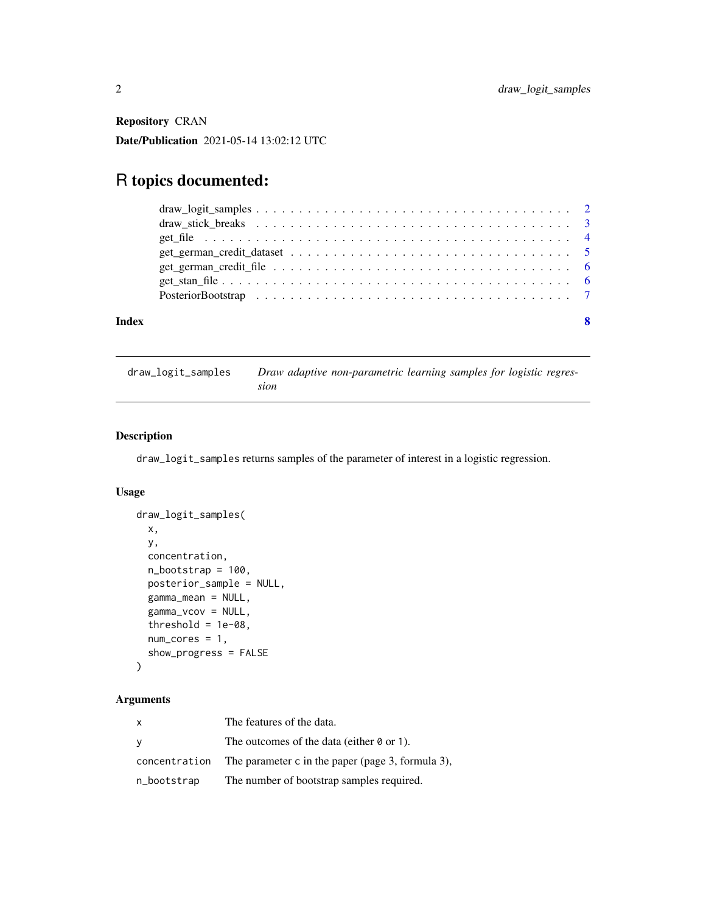<span id="page-1-0"></span>Repository CRAN

Date/Publication 2021-05-14 13:02:12 UTC

## R topics documented:

| Index |  |
|-------|--|
|       |  |

draw\_logit\_samples *Draw adaptive non-parametric learning samples for logistic regression*

#### Description

draw\_logit\_samples returns samples of the parameter of interest in a logistic regression.

#### Usage

```
draw_logit_samples(
 x,
 y,
 concentration,
 n_bootstrap = 100,
 posterior_sample = NULL,
 gamma_mean = NULL,
 gamma_vcov = NULL,
 threshold = 1e-08,
 num\_cores = 1,show_progress = FALSE
)
```
#### Arguments

| X             | The features of the data.                         |
|---------------|---------------------------------------------------|
| y             | The outcomes of the data (either $\theta$ or 1).  |
| concentration | The parameter c in the paper (page 3, formula 3), |
| n_bootstrap   | The number of bootstrap samples required.         |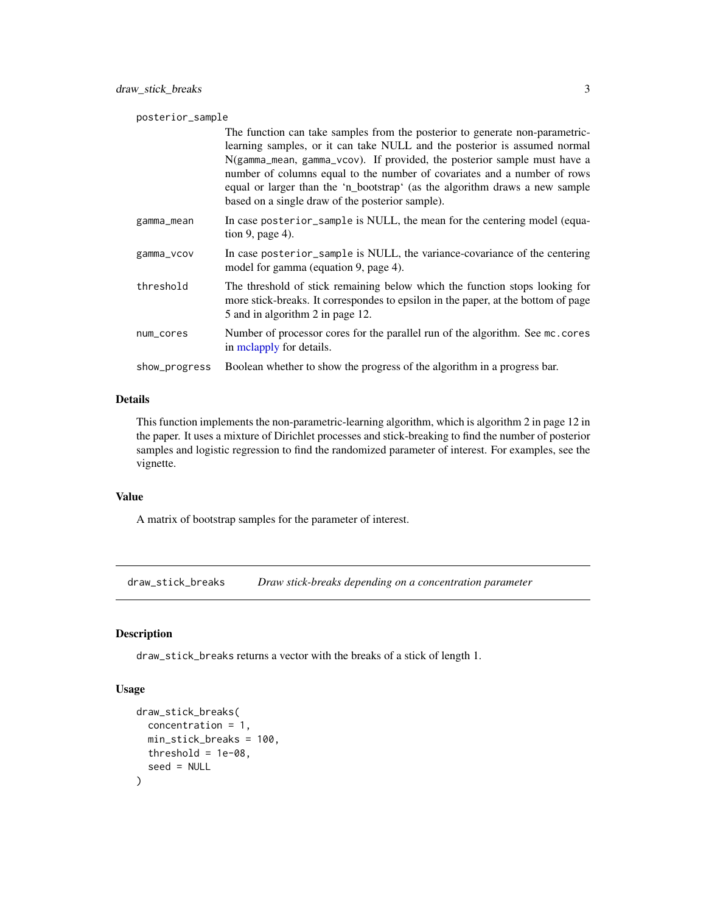<span id="page-2-0"></span>

| posterior_sample |                                                                                                                                                                                                                                                                                                                                                                                                                                                      |  |  |
|------------------|------------------------------------------------------------------------------------------------------------------------------------------------------------------------------------------------------------------------------------------------------------------------------------------------------------------------------------------------------------------------------------------------------------------------------------------------------|--|--|
|                  | The function can take samples from the posterior to generate non-parametric-<br>learning samples, or it can take NULL and the posterior is assumed normal<br>N(gamma_mean, gamma_vcov). If provided, the posterior sample must have a<br>number of columns equal to the number of covariates and a number of rows<br>equal or larger than the 'n_bootstrap' (as the algorithm draws a new sample<br>based on a single draw of the posterior sample). |  |  |
| gamma_mean       | In case posterior_sample is NULL, the mean for the centering model (equa-<br>tion 9, page 4).                                                                                                                                                                                                                                                                                                                                                        |  |  |
| gamma_vcov       | In case posterior_sample is NULL, the variance-covariance of the centering<br>model for gamma (equation 9, page 4).                                                                                                                                                                                                                                                                                                                                  |  |  |
| threshold        | The threshold of stick remaining below which the function stops looking for<br>more stick-breaks. It correspondes to epsilon in the paper, at the bottom of page<br>5 and in algorithm 2 in page 12.                                                                                                                                                                                                                                                 |  |  |
| num_cores        | Number of processor cores for the parallel run of the algorithm. See mc.cores<br>in melapply for details.                                                                                                                                                                                                                                                                                                                                            |  |  |
| show_progress    | Boolean whether to show the progress of the algorithm in a progress bar.                                                                                                                                                                                                                                                                                                                                                                             |  |  |

#### Details

This function implements the non-parametric-learning algorithm, which is algorithm 2 in page 12 in the paper. It uses a mixture of Dirichlet processes and stick-breaking to find the number of posterior samples and logistic regression to find the randomized parameter of interest. For examples, see the vignette.

#### Value

A matrix of bootstrap samples for the parameter of interest.

draw\_stick\_breaks *Draw stick-breaks depending on a concentration parameter*

#### Description

draw\_stick\_breaks returns a vector with the breaks of a stick of length 1.

#### Usage

```
draw_stick_breaks(
 concentration = 1,
 min_stick_breaks = 100,
 threshold = 1e-08,
  seed = NULL
)
```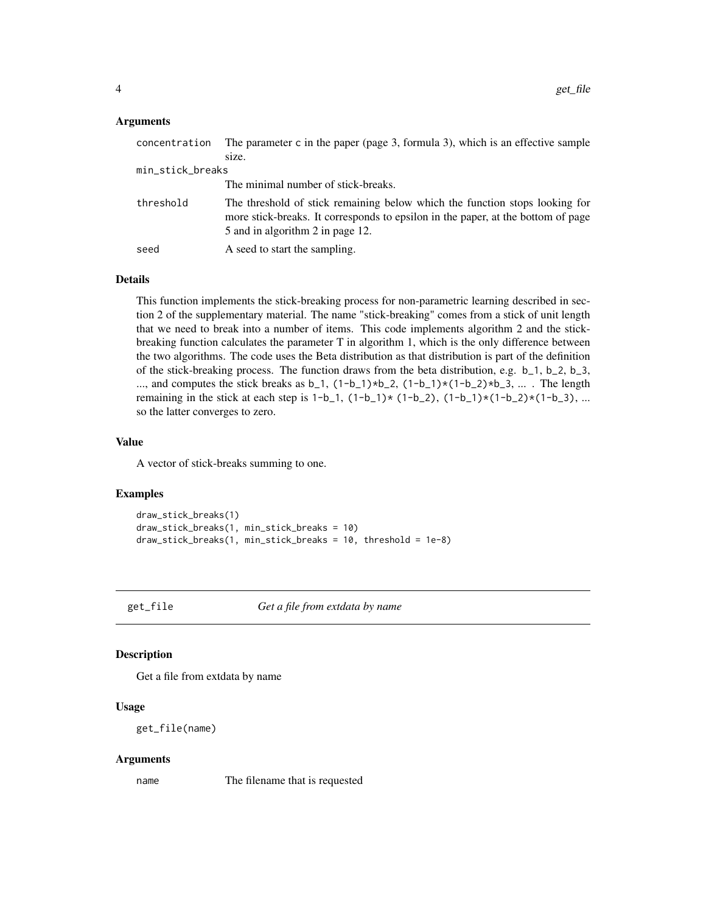#### <span id="page-3-0"></span>Arguments

| concentration    | The parameter $c$ in the paper (page 3, formula 3), which is an effective sample                                                                                                                    |
|------------------|-----------------------------------------------------------------------------------------------------------------------------------------------------------------------------------------------------|
|                  | size.                                                                                                                                                                                               |
| min_stick_breaks |                                                                                                                                                                                                     |
|                  | The minimal number of stick-breaks.                                                                                                                                                                 |
| threshold        | The threshold of stick remaining below which the function stops looking for<br>more stick-breaks. It corresponds to epsilon in the paper, at the bottom of page<br>5 and in algorithm 2 in page 12. |
| seed             | A seed to start the sampling.                                                                                                                                                                       |

#### Details

This function implements the stick-breaking process for non-parametric learning described in section 2 of the supplementary material. The name "stick-breaking" comes from a stick of unit length that we need to break into a number of items. This code implements algorithm 2 and the stickbreaking function calculates the parameter T in algorithm 1, which is the only difference between the two algorithms. The code uses the Beta distribution as that distribution is part of the definition of the stick-breaking process. The function draws from the beta distribution, e.g. b\_1, b\_2, b\_3, ..., and computes the stick breaks as  $b_1$ ,  $(1-b_1)*b_2$ ,  $(1-b_1)*(1-b_2)*b_3$ , ... . The length remaining in the stick at each step is  $1-b_1$ ,  $(1-b_1)*(1-b_2)$ ,  $(1-b_1)*(1-b_2)*(1-b_3)$ , ... so the latter converges to zero.

#### Value

A vector of stick-breaks summing to one.

#### Examples

```
draw_stick_breaks(1)
draw_stick_breaks(1, min_stick_breaks = 10)
draw_stick_breaks(1, min_stick_breaks = 10, threshold = 1e-8)
```
get\_file *Get a file from extdata by name*

#### Description

Get a file from extdata by name

#### Usage

get\_file(name)

#### Arguments

name The filename that is requested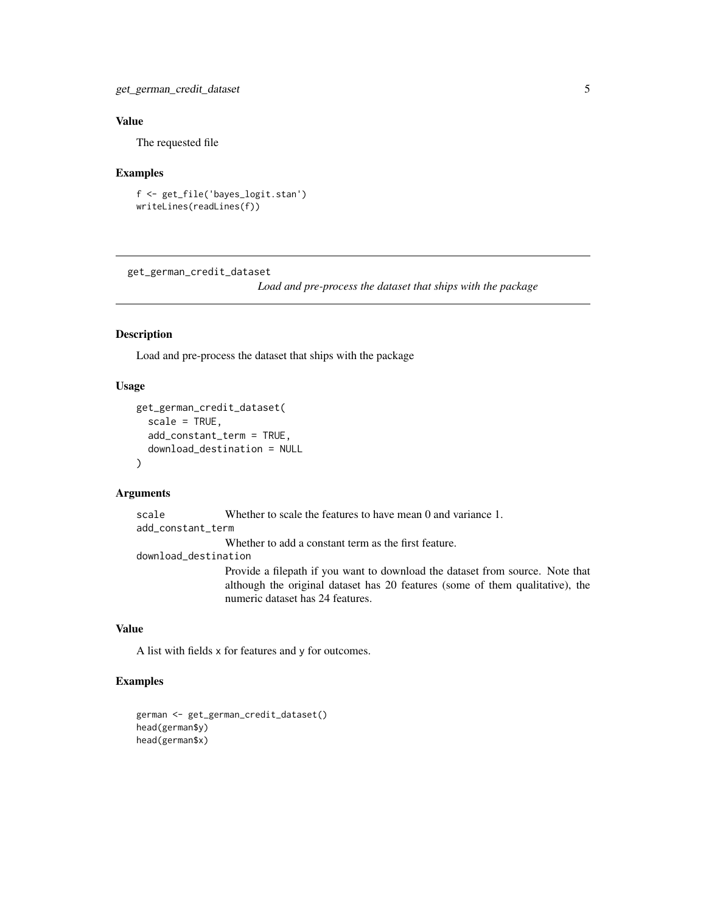### <span id="page-4-0"></span>Value

The requested file

#### Examples

```
f <- get_file('bayes_logit.stan')
writeLines(readLines(f))
```
get\_german\_credit\_dataset

*Load and pre-process the dataset that ships with the package*

#### Description

Load and pre-process the dataset that ships with the package

#### Usage

```
get_german_credit_dataset(
  scale = TRUE,add_constant_term = TRUE,
  download_destination = NULL
)
```
#### Arguments

scale Whether to scale the features to have mean 0 and variance 1. add\_constant\_term Whether to add a constant term as the first feature. download\_destination Provide a filepath if you want to download the dataset from source. Note that although the original dataset has 20 features (some of them qualitative), the numeric dataset has 24 features.

#### Value

A list with fields x for features and y for outcomes.

#### Examples

```
german <- get_german_credit_dataset()
head(german$y)
head(german$x)
```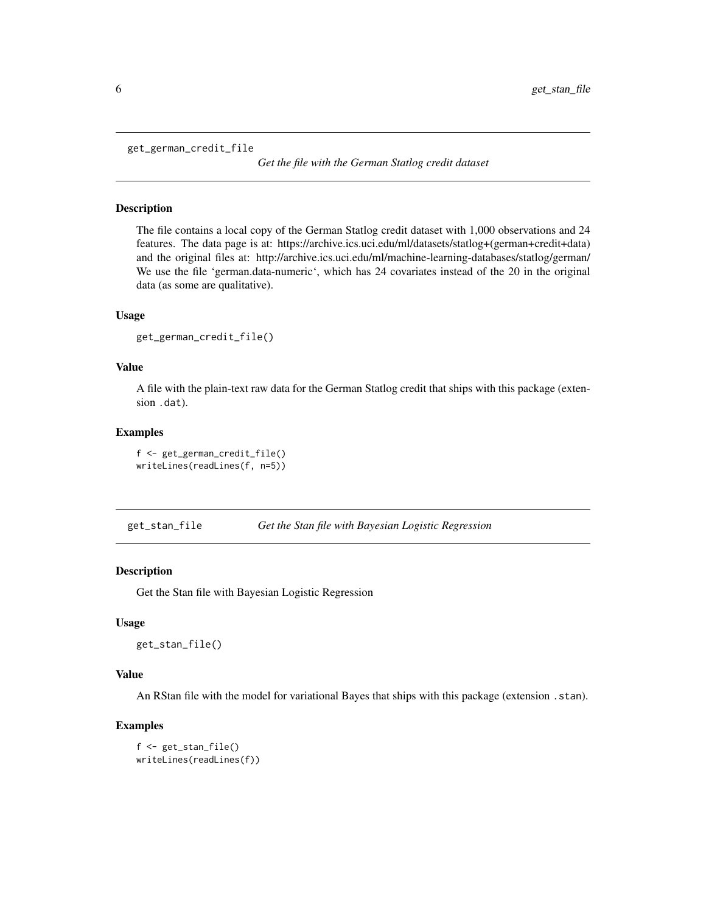<span id="page-5-0"></span>get\_german\_credit\_file

*Get the file with the German Statlog credit dataset*

#### Description

The file contains a local copy of the German Statlog credit dataset with 1,000 observations and 24 features. The data page is at: https://archive.ics.uci.edu/ml/datasets/statlog+(german+credit+data) and the original files at: http://archive.ics.uci.edu/ml/machine-learning-databases/statlog/german/ We use the file 'german.data-numeric', which has 24 covariates instead of the 20 in the original data (as some are qualitative).

#### Usage

```
get_german_credit_file()
```
#### Value

A file with the plain-text raw data for the German Statlog credit that ships with this package (extension .dat).

#### Examples

f <- get\_german\_credit\_file() writeLines(readLines(f, n=5))

get\_stan\_file *Get the Stan file with Bayesian Logistic Regression*

#### Description

Get the Stan file with Bayesian Logistic Regression

#### Usage

get\_stan\_file()

#### Value

An RStan file with the model for variational Bayes that ships with this package (extension .stan).

#### Examples

```
f <- get_stan_file()
writeLines(readLines(f))
```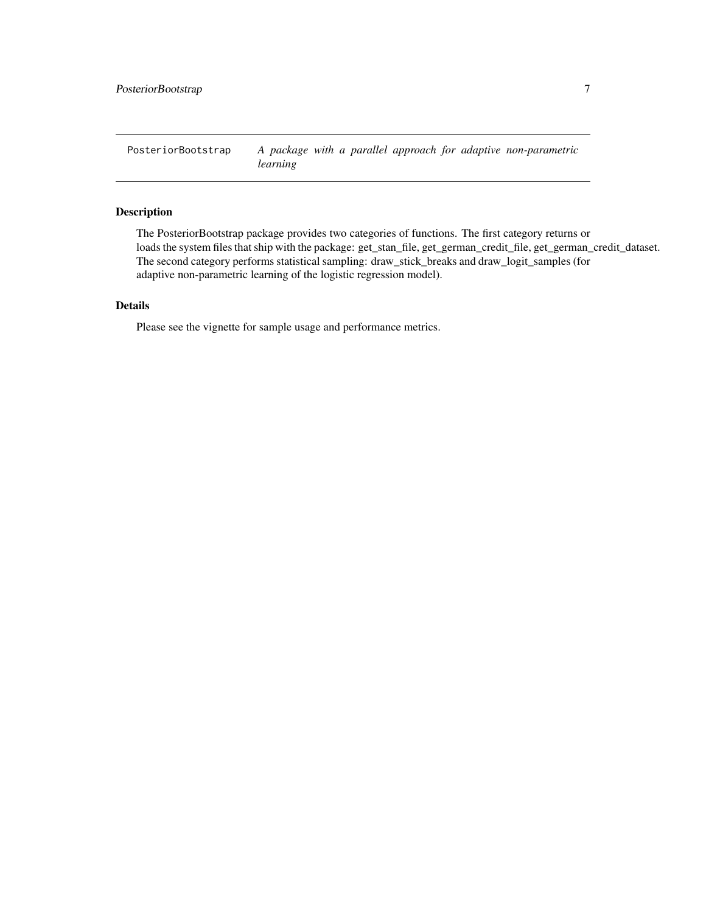<span id="page-6-0"></span>PosteriorBootstrap *A package with a parallel approach for adaptive non-parametric learning*

#### Description

The PosteriorBootstrap package provides two categories of functions. The first category returns or loads the system files that ship with the package: get\_stan\_file, get\_german\_credit\_file, get\_german\_credit\_dataset. The second category performs statistical sampling: draw\_stick\_breaks and draw\_logit\_samples (for adaptive non-parametric learning of the logistic regression model).

### Details

Please see the vignette for sample usage and performance metrics.